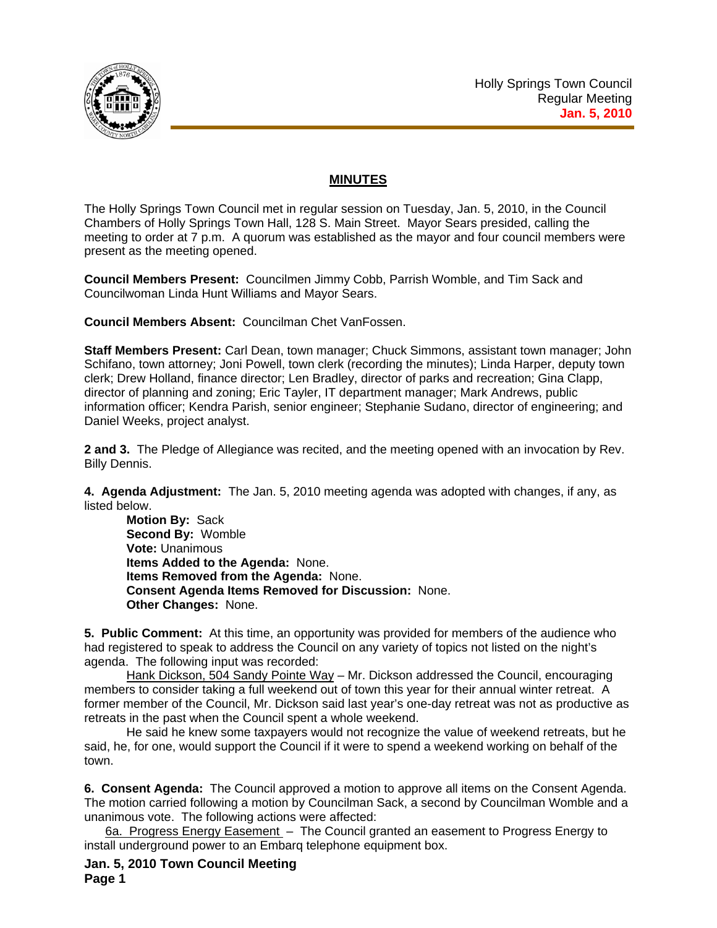

## **MINUTES**

The Holly Springs Town Council met in regular session on Tuesday, Jan. 5, 2010, in the Council Chambers of Holly Springs Town Hall, 128 S. Main Street. Mayor Sears presided, calling the meeting to order at 7 p.m. A quorum was established as the mayor and four council members were present as the meeting opened.

**Council Members Present:** Councilmen Jimmy Cobb, Parrish Womble, and Tim Sack and Councilwoman Linda Hunt Williams and Mayor Sears.

**Council Members Absent:** Councilman Chet VanFossen.

**Staff Members Present:** Carl Dean, town manager; Chuck Simmons, assistant town manager; John Schifano, town attorney; Joni Powell, town clerk (recording the minutes); Linda Harper, deputy town clerk; Drew Holland, finance director; Len Bradley, director of parks and recreation; Gina Clapp, director of planning and zoning; Eric Tayler, IT department manager; Mark Andrews, public information officer; Kendra Parish, senior engineer; Stephanie Sudano, director of engineering; and Daniel Weeks, project analyst.

**2 and 3.** The Pledge of Allegiance was recited, and the meeting opened with an invocation by Rev. Billy Dennis.

**4. Agenda Adjustment:** The Jan. 5, 2010 meeting agenda was adopted with changes, if any, as listed below.

**Motion By:** Sack **Second By:** Womble **Vote:** Unanimous **Items Added to the Agenda:** None.  **Items Removed from the Agenda:** None. **Consent Agenda Items Removed for Discussion:** None. **Other Changes:** None.

**5. Public Comment:** At this time, an opportunity was provided for members of the audience who had registered to speak to address the Council on any variety of topics not listed on the night's agenda. The following input was recorded:

Hank Dickson, 504 Sandy Pointe Way - Mr. Dickson addressed the Council, encouraging members to consider taking a full weekend out of town this year for their annual winter retreat. A former member of the Council, Mr. Dickson said last year's one-day retreat was not as productive as retreats in the past when the Council spent a whole weekend.

 He said he knew some taxpayers would not recognize the value of weekend retreats, but he said, he, for one, would support the Council if it were to spend a weekend working on behalf of the town.

**6. Consent Agenda:** The Council approved a motion to approve all items on the Consent Agenda. The motion carried following a motion by Councilman Sack, a second by Councilman Womble and a unanimous vote. The following actions were affected:

6a. Progress Energy Easement – The Council granted an easement to Progress Energy to install underground power to an Embarq telephone equipment box.

**Jan. 5, 2010 Town Council Meeting Page 1**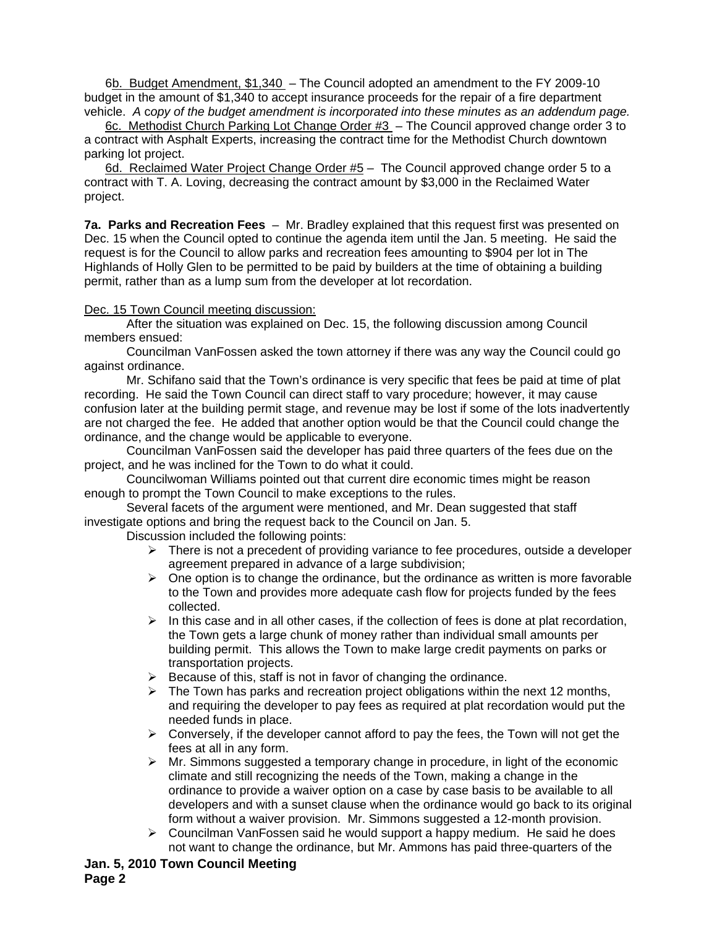6b. Budget Amendment, \$1,340 – The Council adopted an amendment to the FY 2009-10 budget in the amount of \$1,340 to accept insurance proceeds for the repair of a fire department vehicle. *A* c*opy of the budget amendment is incorporated into these minutes as an addendum page.*

6c. Methodist Church Parking Lot Change Order #3 – The Council approved change order 3 to a contract with Asphalt Experts, increasing the contract time for the Methodist Church downtown parking lot project.

6d. Reclaimed Water Project Change Order #5 - The Council approved change order 5 to a contract with T. A. Loving, decreasing the contract amount by \$3,000 in the Reclaimed Water project.

**7a. Parks and Recreation Fees** – Mr. Bradley explained that this request first was presented on Dec. 15 when the Council opted to continue the agenda item until the Jan. 5 meeting. He said the request is for the Council to allow parks and recreation fees amounting to \$904 per lot in The Highlands of Holly Glen to be permitted to be paid by builders at the time of obtaining a building permit, rather than as a lump sum from the developer at lot recordation.

## Dec. 15 Town Council meeting discussion:

After the situation was explained on Dec. 15, the following discussion among Council members ensued:

Councilman VanFossen asked the town attorney if there was any way the Council could go against ordinance.

Mr. Schifano said that the Town's ordinance is very specific that fees be paid at time of plat recording. He said the Town Council can direct staff to vary procedure; however, it may cause confusion later at the building permit stage, and revenue may be lost if some of the lots inadvertently are not charged the fee. He added that another option would be that the Council could change the ordinance, and the change would be applicable to everyone.

Councilman VanFossen said the developer has paid three quarters of the fees due on the project, and he was inclined for the Town to do what it could.

Councilwoman Williams pointed out that current dire economic times might be reason enough to prompt the Town Council to make exceptions to the rules.

Several facets of the argument were mentioned, and Mr. Dean suggested that staff investigate options and bring the request back to the Council on Jan. 5.

Discussion included the following points:

- $\triangleright$  There is not a precedent of providing variance to fee procedures, outside a developer agreement prepared in advance of a large subdivision;
- $\triangleright$  One option is to change the ordinance, but the ordinance as written is more favorable to the Town and provides more adequate cash flow for projects funded by the fees collected.
- $\triangleright$  In this case and in all other cases, if the collection of fees is done at plat recordation, the Town gets a large chunk of money rather than individual small amounts per building permit. This allows the Town to make large credit payments on parks or transportation projects.
- $\triangleright$  Because of this, staff is not in favor of changing the ordinance.
- $\triangleright$  The Town has parks and recreation project obligations within the next 12 months, and requiring the developer to pay fees as required at plat recordation would put the needed funds in place.
- $\triangleright$  Conversely, if the developer cannot afford to pay the fees, the Town will not get the fees at all in any form.
- $\triangleright$  Mr. Simmons suggested a temporary change in procedure, in light of the economic climate and still recognizing the needs of the Town, making a change in the ordinance to provide a waiver option on a case by case basis to be available to all developers and with a sunset clause when the ordinance would go back to its original form without a waiver provision. Mr. Simmons suggested a 12-month provision.
- $\triangleright$  Councilman VanFossen said he would support a happy medium. He said he does not want to change the ordinance, but Mr. Ammons has paid three-quarters of the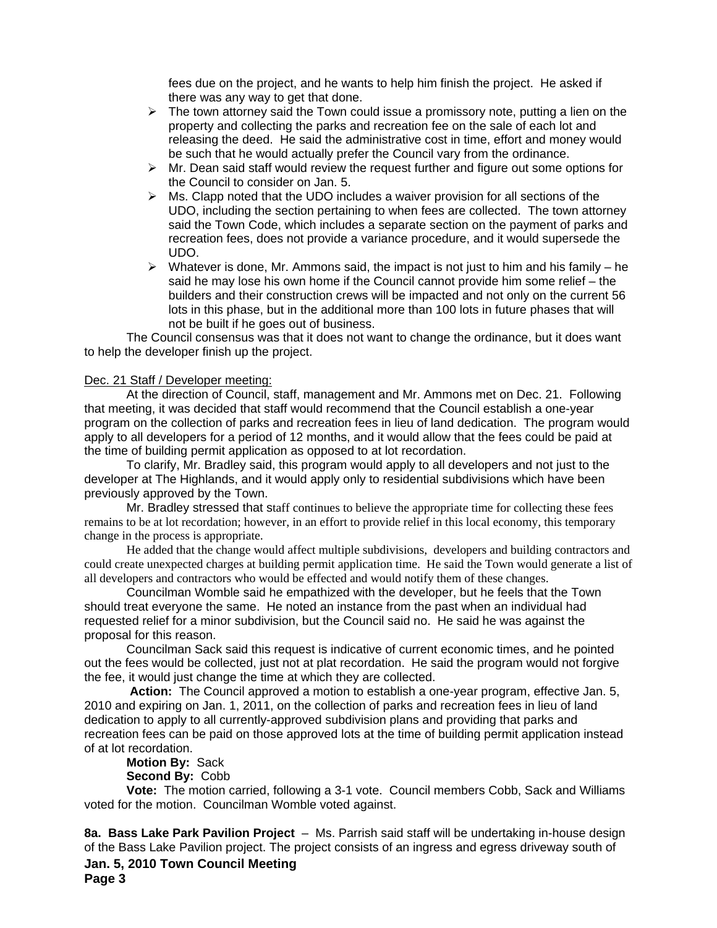fees due on the project, and he wants to help him finish the project. He asked if there was any way to get that done.

- $\triangleright$  The town attorney said the Town could issue a promissory note, putting a lien on the property and collecting the parks and recreation fee on the sale of each lot and releasing the deed. He said the administrative cost in time, effort and money would be such that he would actually prefer the Council vary from the ordinance.
- $\triangleright$  Mr. Dean said staff would review the request further and figure out some options for the Council to consider on Jan. 5.
- $\triangleright$  Ms. Clapp noted that the UDO includes a waiver provision for all sections of the UDO, including the section pertaining to when fees are collected. The town attorney said the Town Code, which includes a separate section on the payment of parks and recreation fees, does not provide a variance procedure, and it would supersede the UDO.
- $\triangleright$  Whatever is done, Mr. Ammons said, the impact is not just to him and his family he said he may lose his own home if the Council cannot provide him some relief – the builders and their construction crews will be impacted and not only on the current 56 lots in this phase, but in the additional more than 100 lots in future phases that will not be built if he goes out of business.

The Council consensus was that it does not want to change the ordinance, but it does want to help the developer finish up the project.

## Dec. 21 Staff / Developer meeting:

At the direction of Council, staff, management and Mr. Ammons met on Dec. 21. Following that meeting, it was decided that staff would recommend that the Council establish a one-year program on the collection of parks and recreation fees in lieu of land dedication. The program would apply to all developers for a period of 12 months, and it would allow that the fees could be paid at the time of building permit application as opposed to at lot recordation.

To clarify, Mr. Bradley said, this program would apply to all developers and not just to the developer at The Highlands, and it would apply only to residential subdivisions which have been previously approved by the Town.

Mr. Bradley stressed that staff continues to believe the appropriate time for collecting these fees remains to be at lot recordation; however, in an effort to provide relief in this local economy, this temporary change in the process is appropriate.

He added that the change would affect multiple subdivisions, developers and building contractors and could create unexpected charges at building permit application time. He said the Town would generate a list of all developers and contractors who would be effected and would notify them of these changes.

Councilman Womble said he empathized with the developer, but he feels that the Town should treat everyone the same. He noted an instance from the past when an individual had requested relief for a minor subdivision, but the Council said no. He said he was against the proposal for this reason.

Councilman Sack said this request is indicative of current economic times, and he pointed out the fees would be collected, just not at plat recordation. He said the program would not forgive the fee, it would just change the time at which they are collected.

**Action:** The Council approved a motion to establish a one-year program, effective Jan. 5, 2010 and expiring on Jan. 1, 2011, on the collection of parks and recreation fees in lieu of land dedication to apply to all currently-approved subdivision plans and providing that parks and recreation fees can be paid on those approved lots at the time of building permit application instead of at lot recordation.

## **Motion By:** Sack

**Second By:** Cobb

**Vote:** The motion carried, following a 3-1 vote. Council members Cobb, Sack and Williams voted for the motion. Councilman Womble voted against.

**Jan. 5, 2010 Town Council Meeting Page 3 8a. Bass Lake Park Pavilion Project** – Ms. Parrish said staff will be undertaking in-house design of the Bass Lake Pavilion project. The project consists of an ingress and egress driveway south of